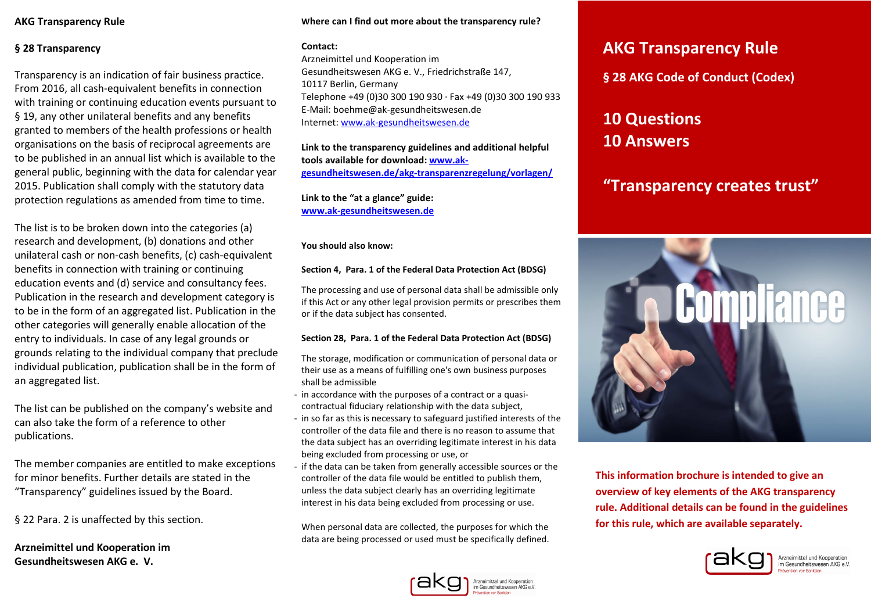## **AKG Transparency Rule**

# **§ 28 Transparency**

Transparency is an indication of fair business practice. From 2016, all cash-equivalent benefits in connection with training or continuing education events pursuant to § 19, any other unilateral benefits and any benefits granted to members of the health professions or health organisations on the basis of reciprocal agreements are to be published in an annual list which is available to the general public, beginning with the data for calendar year 2015. Publication shall comply with the statutory data protection regulations as amended from time to time.

The list is to be broken down into the categories (a)research and development, (b) donations and other unilateral cash or non-cash benefits, (c) cash-equivalent benefits in connection with training or continuing education events and (d) service and consultancy fees.Publication in the research and development category is to be in the form of an aggregated list. Publication in the other categories will generally enable allocation of the entry to individuals. In case of any legal grounds orgrounds relating to the individual company that preclude individual publication, publication shall be in the form of an aggregated list.

The list can be published on the company's website andcan also take the form of a reference to other publications.

The member companies are entitled to make exceptions for minor benefits. Further details are stated in the "Transparency" guidelines issued by the Board.

§ 22 Para. 2 is unaffected by this section.

**Arzneimittel und Kooperation imGesundheitswesen AKG e. V.**

#### **Where can I find out more about the transparency rule?**

#### **Contact:**

Arzneimittel und Kooperation im Gesundheitswesen AKG e. V., Friedrichstraße 147, 10117 Berlin, Germany Telephone +49 (0)30 300 190 930 · Fax +49 (0)30 300 190 933 E-Mail: boehme@ak-gesundheitswesen.de Internet: www.ak-gesundheitswesen.de

**Link to the transparency guidelines and additional helpful tools available for download: www.akgesundheitswesen.de/akg-transparenzregelung/vorlagen/**

**Link to the "at a glance" guide:www.ak-gesundheitswesen.de**

**You should also know:**

#### **Section 4, Para. 1 of the Federal Data Protection Act (BDSG)**

The processing and use of personal data shall be admissible only if this Act or any other legal provision permits or prescribes them or if the data subject has consented.

#### **Section 28, Para. 1 of the Federal Data Protection Act (BDSG)**

The storage, modification or communication of personal data or their use as a means of fulfilling one's own business purposes shall be admissible

- in accordance with the purposes of a contract or a quasicontractual fiduciary relationship with the data subject,
- in so far as this is necessary to safeguard justified interests of the controller of the data file and there is no reason to assume that the data subject has an overriding legitimate interest in his data being excluded from processing or use, or
- if the data can be taken from generally accessible sources or the controller of the data file would be entitled to publish them, unless the data subject clearly has an overriding legitimate interest in his data being excluded from processing or use.

When personal data are collected, the purposes for which the data are being processed or used must be specifically defined.



**§ 28 AKG Code of Conduct (Codex)** 

**10 Questions 10 Answers**

# **"Transparency creates trust"**



**This information brochure is intended to give an overview of key elements of the AKG transparency rule. Additional details can be found in the guidelines for this rule, which are available separately.** 



Arzneimittel und Kooperation<br>im Gesundheitswesen AKG e.V